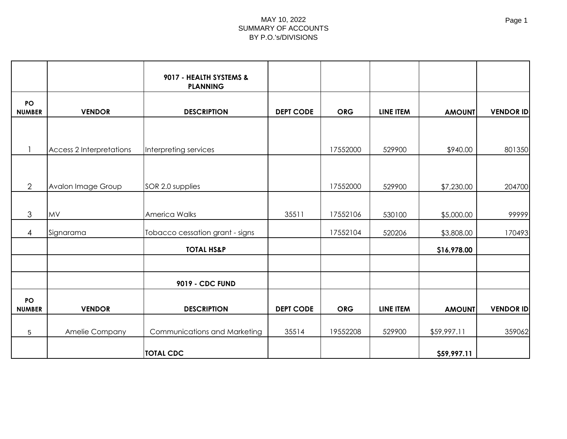|                            |                                 | 9017 - HEALTH SYSTEMS &<br><b>PLANNING</b> |                  |            |           |               |                  |
|----------------------------|---------------------------------|--------------------------------------------|------------------|------------|-----------|---------------|------------------|
| <b>PO</b><br><b>NUMBER</b> | <b>VENDOR</b>                   | <b>DESCRIPTION</b>                         | <b>DEPT CODE</b> | <b>ORG</b> | LINE ITEM | <b>AMOUNT</b> | <b>VENDOR ID</b> |
|                            |                                 |                                            |                  |            |           |               |                  |
|                            | <b>Access 2 Interpretations</b> | Interpreting services                      |                  | 17552000   | 529900    | \$940.00      | 801350           |
|                            |                                 |                                            |                  |            |           |               |                  |
| $\overline{2}$             | Avalon Image Group              | SOR 2.0 supplies                           |                  | 17552000   | 529900    | \$7,230.00    | 204700           |
| 3                          | <b>MV</b>                       | America Walks                              | 35511            | 17552106   | 530100    | \$5,000.00    | 99999            |
| 4                          | Signarama                       | Tobacco cessation grant - signs            |                  | 17552104   | 520206    | \$3,808.00    | 170493           |
|                            |                                 | <b>TOTAL HS&amp;P</b>                      |                  |            |           | \$16,978.00   |                  |
|                            |                                 |                                            |                  |            |           |               |                  |
|                            |                                 | 9019 - CDC FUND                            |                  |            |           |               |                  |
| <b>PO</b><br><b>NUMBER</b> | <b>VENDOR</b>                   | <b>DESCRIPTION</b>                         | <b>DEPT CODE</b> | <b>ORG</b> | LINE ITEM | <b>AMOUNT</b> | <b>VENDOR ID</b> |
| 5                          | Amelie Company                  | Communications and Marketing               | 35514            | 19552208   | 529900    | \$59,997.11   | 359062           |
|                            |                                 | <b>TOTAL CDC</b>                           |                  |            |           | \$59,997.11   |                  |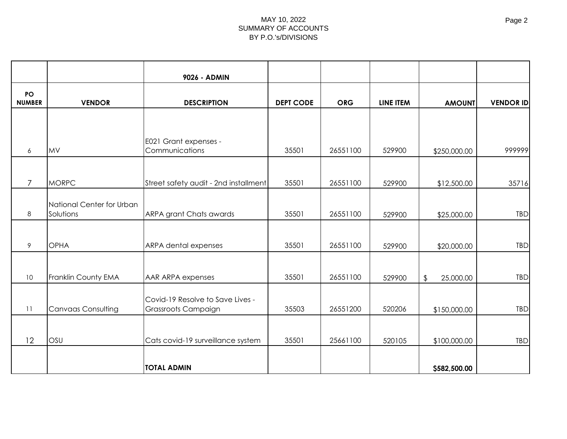|                     |                                        | 9026 - ADMIN                                            |                  |            |           |                            |                  |
|---------------------|----------------------------------------|---------------------------------------------------------|------------------|------------|-----------|----------------------------|------------------|
| PO<br><b>NUMBER</b> | <b>VENDOR</b>                          | <b>DESCRIPTION</b>                                      | <b>DEPT CODE</b> | <b>ORG</b> | LINE ITEM | <b>AMOUNT</b>              | <b>VENDOR ID</b> |
|                     |                                        |                                                         |                  |            |           |                            |                  |
| 6                   | <b>MV</b>                              | E021 Grant expenses -<br>Communications                 | 35501            | 26551100   | 529900    | \$250,000.00               | 999999           |
| $\overline{7}$      | <b>MORPC</b>                           | Street safety audit - 2nd installment                   | 35501            | 26551100   | 529900    | \$12,500.00                | 35716            |
| $\,8\,$             | National Center for Urban<br>Solutions | <b>ARPA grant Chats awards</b>                          | 35501            | 26551100   | 529900    | \$25,000.00                | <b>TBD</b>       |
| 9                   | <b>OPHA</b>                            | ARPA dental expenses                                    | 35501            | 26551100   | 529900    | \$20,000.00                | <b>TBD</b>       |
| 10 <sup>°</sup>     | Franklin County EMA                    | AAR ARPA expenses                                       | 35501            | 26551100   | 529900    | 25,000.00<br>$\frac{1}{2}$ | <b>TBD</b>       |
| 11                  | <b>Canvaas Consulting</b>              | Covid-19 Resolve to Save Lives -<br>Grassroots Campaign | 35503            | 26551200   | 520206    | \$150,000.00               | <b>TBD</b>       |
| 12                  | OSU                                    | Cats covid-19 surveillance system                       | 35501            | 25661100   | 520105    | \$100,000.00               | <b>TBD</b>       |
|                     |                                        | <b>TOTAL ADMIN</b>                                      |                  |            |           | \$582,500.00               |                  |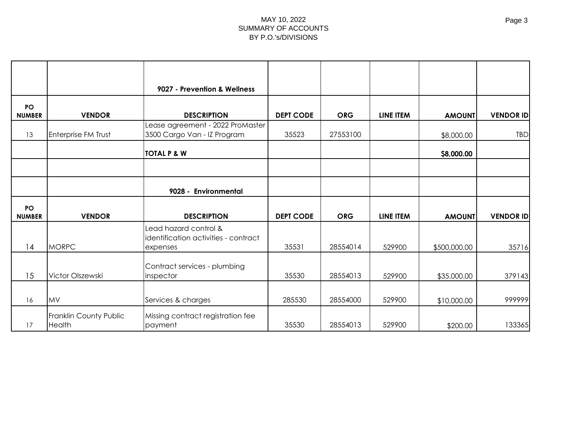|                            |                     | 9027 - Prevention & Wellness                                              |                  |            |                  |               |                  |
|----------------------------|---------------------|---------------------------------------------------------------------------|------------------|------------|------------------|---------------|------------------|
| <b>PO</b><br><b>NUMBER</b> | <b>VENDOR</b>       | <b>DESCRIPTION</b>                                                        | <b>DEPT CODE</b> | <b>ORG</b> | LINE ITEM        | <b>AMOUNT</b> | <b>VENDOR ID</b> |
| 13                         | Enterprise FM Trust | Lease agreement - 2022 ProMaster<br>3500 Cargo Van - IZ Program           | 35523            | 27553100   |                  | \$8,000.00    | <b>TBD</b>       |
|                            |                     | <b>TOTAL P &amp; W</b>                                                    |                  |            |                  | \$8,000.00    |                  |
|                            |                     |                                                                           |                  |            |                  |               |                  |
|                            |                     | 9028 - Environmental                                                      |                  |            |                  |               |                  |
|                            |                     |                                                                           |                  |            |                  |               |                  |
| <b>PO</b><br><b>NUMBER</b> | <b>VENDOR</b>       | <b>DESCRIPTION</b>                                                        | <b>DEPT CODE</b> | <b>ORG</b> | <b>LINE ITEM</b> | <b>AMOUNT</b> | <b>VENDOR ID</b> |
| 14                         | <b>MORPC</b>        | Lead hazard control &<br>identification activities - contract<br>expenses | 35531            | 28554014   | 529900           | \$500,000.00  | 35716            |
| 15                         | Victor Olszewski    | Contract services - plumbing<br>inspector                                 | 35530            | 28554013   | 529900           | \$35,000.00   | 379143           |
| 16                         | MV                  | Services & charges                                                        | 285530           | 28554000   | 529900           | \$10,000.00   | 999999           |